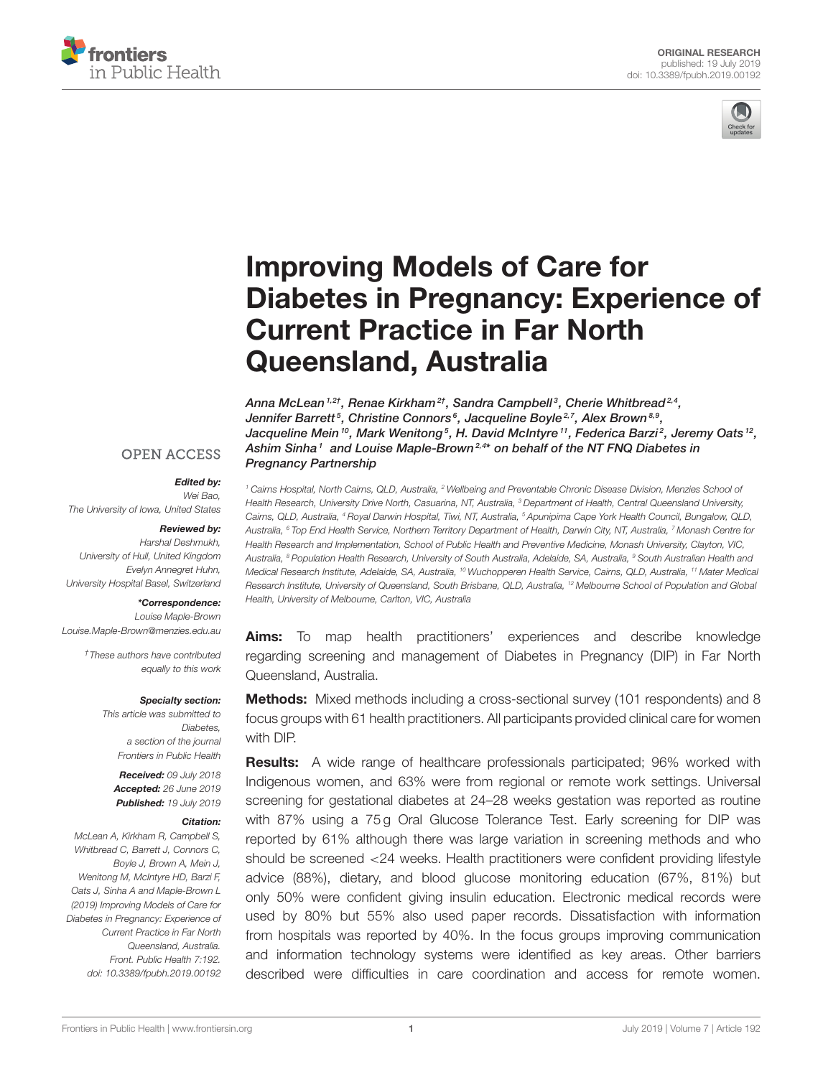



# Improving Models of Care for [Diabetes in Pregnancy: Experience of](https://www.frontiersin.org/articles/10.3389/fpubh.2019.00192/full) Current Practice in Far North Queensland, Australia

[Anna McLean](http://loop.frontiersin.org/people/583519/overview) $^{1,2\dagger}$ , Renae Kirkham $^{2\dagger}$ , Sandra Campbell $^3$ , Cherie Whitbread $^{2,4}$ , Jennifer Barrett<sup>5</sup>, Christine Connors<sup>6</sup>, [Jacqueline Boyle](http://loop.frontiersin.org/people/701446/overview)<sup>2,7</sup>, [Alex Brown](http://loop.frontiersin.org/people/176172/overview)<sup>8,9</sup>, Jacqueline Mein  $^{10}$ , [Mark Wenitong](http://loop.frontiersin.org/people/419136/overview)  $^5$ , H. David McIntyre  $^{11}$ , Federica Barzi $^2$ , [Jeremy Oats](http://loop.frontiersin.org/people/750440/overview)  $^{12}$ , Ashim Sinha<sup>1</sup> and Louise Maple-Brown<sup>2,4\*</sup> on behalf of the NT FNQ Diabetes in Pregnancy Partnership

*<sup>1</sup> Cairns Hospital, North Cairns, QLD, Australia, <sup>2</sup> Wellbeing and Preventable Chronic Disease Division, Menzies School of Health Research, University Drive North, Casuarina, NT, Australia, <sup>3</sup> Department of Health, Central Queensland University, Cairns, QLD, Australia, <sup>4</sup> Royal Darwin Hospital, Tiwi, NT, Australia, <sup>5</sup> Apunipima Cape York Health Council, Bungalow, QLD, Australia, <sup>6</sup> Top End Health Service, Northern Territory Department of Health, Darwin City, NT, Australia, <sup>7</sup> Monash Centre for Health Research and Implementation, School of Public Health and Preventive Medicine, Monash University, Clayton, VIC, Australia, <sup>8</sup> Population Health Research, University of South Australia, Adelaide, SA, Australia, <sup>9</sup> South Australian Health and Medical Research Institute, Adelaide, SA, Australia, <sup>10</sup> Wuchopperen Health Service, Cairns, QLD, Australia, <sup>11</sup> Mater Medical Research Institute, University of Queensland, South Brisbane, QLD, Australia, <sup>12</sup> Melbourne School of Population and Global Health, University of Melbourne, Carlton, VIC, Australia*

Aims: To map health practitioners' experiences and describe knowledge regarding screening and management of Diabetes in Pregnancy (DIP) in Far North Queensland, Australia.

Methods: Mixed methods including a cross-sectional survey (101 respondents) and 8 focus groups with 61 health practitioners. All participants provided clinical care for women with DIP.

Results: A wide range of healthcare professionals participated; 96% worked with Indigenous women, and 63% were from regional or remote work settings. Universal screening for gestational diabetes at 24–28 weeks gestation was reported as routine with 87% using a 75 g Oral Glucose Tolerance Test. Early screening for DIP was reported by 61% although there was large variation in screening methods and who should be screened <24 weeks. Health practitioners were confident providing lifestyle advice (88%), dietary, and blood glucose monitoring education (67%, 81%) but only 50% were confident giving insulin education. Electronic medical records were used by 80% but 55% also used paper records. Dissatisfaction with information from hospitals was reported by 40%. In the focus groups improving communication and information technology systems were identified as key areas. Other barriers described were difficulties in care coordination and access for remote women.

#### **OPEN ACCESS**

#### Edited by:

*Wei Bao, The University of Iowa, United States*

#### Reviewed by:

*Harshal Deshmukh, University of Hull, United Kingdom Evelyn Annegret Huhn, University Hospital Basel, Switzerland*

#### \*Correspondence:

*Louise Maple-Brown [Louise.Maple-Brown@menzies.edu.au](mailto:Louise.Maple-Brown@menzies.edu.au)*

> *†These authors have contributed equally to this work*

#### Specialty section:

*This article was submitted to Diabetes, a section of the journal Frontiers in Public Health*

Received: *09 July 2018* Accepted: *26 June 2019* Published: *19 July 2019*

#### Citation:

*McLean A, Kirkham R, Campbell S, Whitbread C, Barrett J, Connors C, Boyle J, Brown A, Mein J, Wenitong M, McIntyre HD, Barzi F, Oats J, Sinha A and Maple-Brown L (2019) Improving Models of Care for Diabetes in Pregnancy: Experience of Current Practice in Far North Queensland, Australia. Front. Public Health 7:192. doi: [10.3389/fpubh.2019.00192](https://doi.org/10.3389/fpubh.2019.00192)*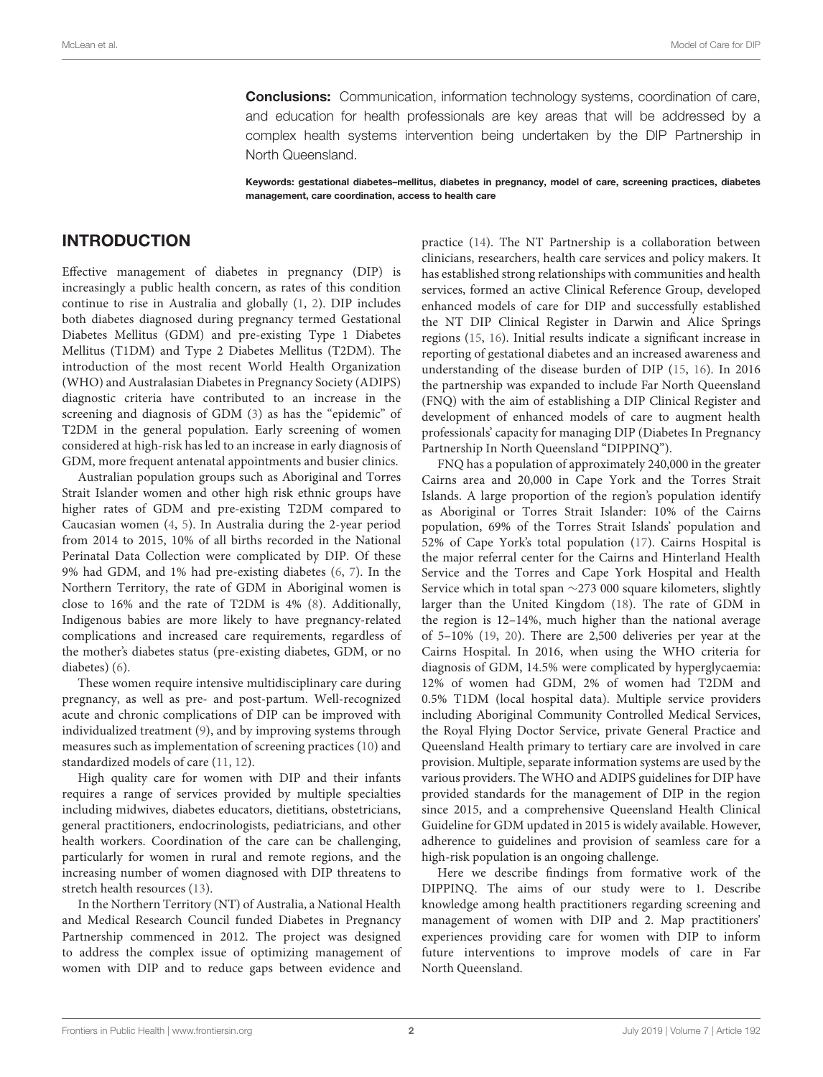**Conclusions:** Communication, information technology systems, coordination of care, and education for health professionals are key areas that will be addressed by a complex health systems intervention being undertaken by the DIP Partnership in North Queensland.

Keywords: gestational diabetes–mellitus, diabetes in pregnancy, model of care, screening practices, diabetes management, care coordination, access to health care

## INTRODUCTION

Effective management of diabetes in pregnancy (DIP) is increasingly a public health concern, as rates of this condition continue to rise in Australia and globally [\(1,](#page-8-0) [2\)](#page-8-1). DIP includes both diabetes diagnosed during pregnancy termed Gestational Diabetes Mellitus (GDM) and pre-existing Type 1 Diabetes Mellitus (T1DM) and Type 2 Diabetes Mellitus (T2DM). The introduction of the most recent World Health Organization (WHO) and Australasian Diabetes in Pregnancy Society (ADIPS) diagnostic criteria have contributed to an increase in the screening and diagnosis of GDM [\(3\)](#page-8-2) as has the "epidemic" of T2DM in the general population. Early screening of women considered at high-risk has led to an increase in early diagnosis of GDM, more frequent antenatal appointments and busier clinics.

Australian population groups such as Aboriginal and Torres Strait Islander women and other high risk ethnic groups have higher rates of GDM and pre-existing T2DM compared to Caucasian women [\(4,](#page-8-3) [5\)](#page-8-4). In Australia during the 2-year period from 2014 to 2015, 10% of all births recorded in the National Perinatal Data Collection were complicated by DIP. Of these 9% had GDM, and 1% had pre-existing diabetes [\(6,](#page-8-5) [7\)](#page-8-6). In the Northern Territory, the rate of GDM in Aboriginal women is close to 16% and the rate of T2DM is 4% [\(8\)](#page-8-7). Additionally, Indigenous babies are more likely to have pregnancy-related complications and increased care requirements, regardless of the mother's diabetes status (pre-existing diabetes, GDM, or no diabetes) [\(6\)](#page-8-5).

These women require intensive multidisciplinary care during pregnancy, as well as pre- and post-partum. Well-recognized acute and chronic complications of DIP can be improved with individualized treatment [\(9\)](#page-8-8), and by improving systems through measures such as implementation of screening practices [\(10\)](#page-8-9) and standardized models of care [\(11,](#page-8-10) [12\)](#page-8-11).

High quality care for women with DIP and their infants requires a range of services provided by multiple specialties including midwives, diabetes educators, dietitians, obstetricians, general practitioners, endocrinologists, pediatricians, and other health workers. Coordination of the care can be challenging, particularly for women in rural and remote regions, and the increasing number of women diagnosed with DIP threatens to stretch health resources [\(13\)](#page-8-12).

In the Northern Territory (NT) of Australia, a National Health and Medical Research Council funded Diabetes in Pregnancy Partnership commenced in 2012. The project was designed to address the complex issue of optimizing management of women with DIP and to reduce gaps between evidence and practice [\(14\)](#page-8-13). The NT Partnership is a collaboration between clinicians, researchers, health care services and policy makers. It has established strong relationships with communities and health services, formed an active Clinical Reference Group, developed enhanced models of care for DIP and successfully established the NT DIP Clinical Register in Darwin and Alice Springs regions [\(15,](#page-8-14) [16\)](#page-8-15). Initial results indicate a significant increase in reporting of gestational diabetes and an increased awareness and understanding of the disease burden of DIP [\(15,](#page-8-14) [16\)](#page-8-15). In 2016 the partnership was expanded to include Far North Queensland (FNQ) with the aim of establishing a DIP Clinical Register and development of enhanced models of care to augment health professionals' capacity for managing DIP (Diabetes In Pregnancy Partnership In North Queensland "DIPPINQ").

FNQ has a population of approximately 240,000 in the greater Cairns area and 20,000 in Cape York and the Torres Strait Islands. A large proportion of the region's population identify as Aboriginal or Torres Strait Islander: 10% of the Cairns population, 69% of the Torres Strait Islands' population and 52% of Cape York's total population [\(17\)](#page-8-16). Cairns Hospital is the major referral center for the Cairns and Hinterland Health Service and the Torres and Cape York Hospital and Health Service which in total span ∼273 000 square kilometers, slightly larger than the United Kingdom [\(18\)](#page-8-17). The rate of GDM in the region is 12–14%, much higher than the national average of 5–10% [\(19,](#page-8-18) [20\)](#page-8-19). There are 2,500 deliveries per year at the Cairns Hospital. In 2016, when using the WHO criteria for diagnosis of GDM, 14.5% were complicated by hyperglycaemia: 12% of women had GDM, 2% of women had T2DM and 0.5% T1DM (local hospital data). Multiple service providers including Aboriginal Community Controlled Medical Services, the Royal Flying Doctor Service, private General Practice and Queensland Health primary to tertiary care are involved in care provision. Multiple, separate information systems are used by the various providers. The WHO and ADIPS guidelines for DIP have provided standards for the management of DIP in the region since 2015, and a comprehensive Queensland Health Clinical Guideline for GDM updated in 2015 is widely available. However, adherence to guidelines and provision of seamless care for a high-risk population is an ongoing challenge.

Here we describe findings from formative work of the DIPPINQ. The aims of our study were to 1. Describe knowledge among health practitioners regarding screening and management of women with DIP and 2. Map practitioners' experiences providing care for women with DIP to inform future interventions to improve models of care in Far North Queensland.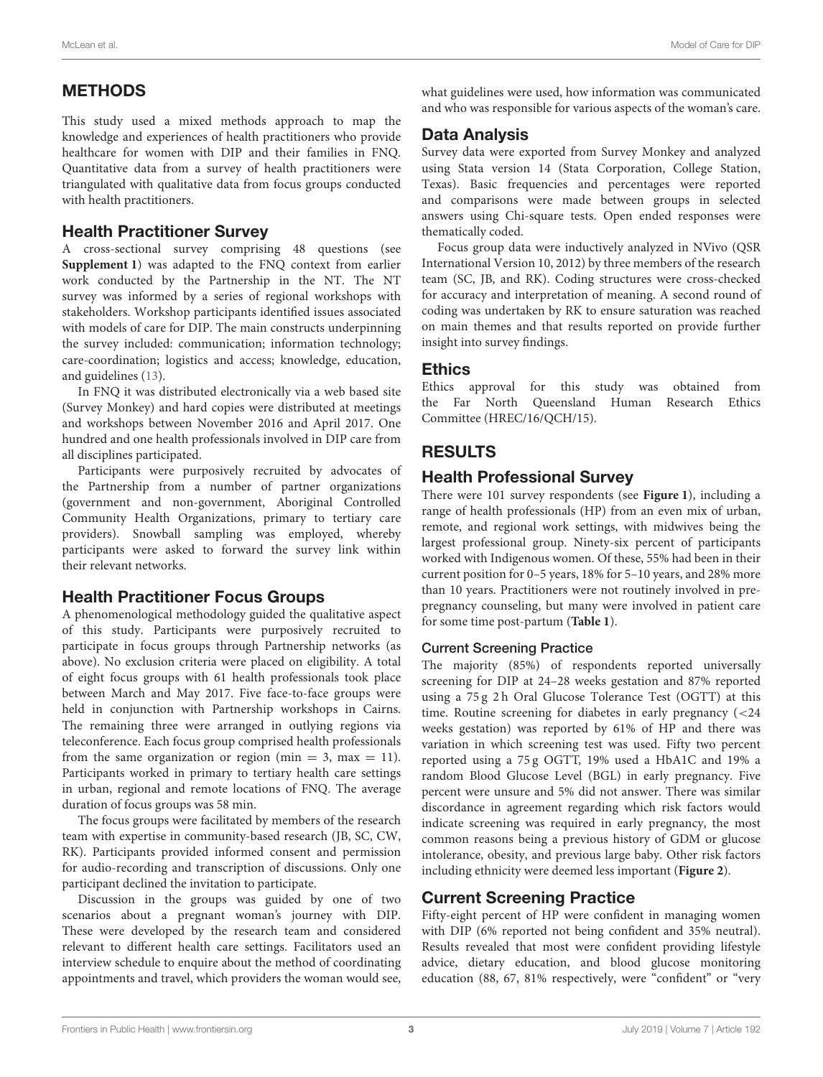# METHODS

This study used a mixed methods approach to map the knowledge and experiences of health practitioners who provide healthcare for women with DIP and their families in FNQ. Quantitative data from a survey of health practitioners were triangulated with qualitative data from focus groups conducted with health practitioners.

## Health Practitioner Survey

A cross-sectional survey comprising 48 questions (see **[Supplement 1](#page-8-20)**) was adapted to the FNQ context from earlier work conducted by the Partnership in the NT. The NT survey was informed by a series of regional workshops with stakeholders. Workshop participants identified issues associated with models of care for DIP. The main constructs underpinning the survey included: communication; information technology; care-coordination; logistics and access; knowledge, education, and guidelines [\(13\)](#page-8-12).

In FNQ it was distributed electronically via a web based site (Survey Monkey) and hard copies were distributed at meetings and workshops between November 2016 and April 2017. One hundred and one health professionals involved in DIP care from all disciplines participated.

Participants were purposively recruited by advocates of the Partnership from a number of partner organizations (government and non-government, Aboriginal Controlled Community Health Organizations, primary to tertiary care providers). Snowball sampling was employed, whereby participants were asked to forward the survey link within their relevant networks.

## Health Practitioner Focus Groups

A phenomenological methodology guided the qualitative aspect of this study. Participants were purposively recruited to participate in focus groups through Partnership networks (as above). No exclusion criteria were placed on eligibility. A total of eight focus groups with 61 health professionals took place between March and May 2017. Five face-to-face groups were held in conjunction with Partnership workshops in Cairns. The remaining three were arranged in outlying regions via teleconference. Each focus group comprised health professionals from the same organization or region (min  $=$  3, max  $=$  11). Participants worked in primary to tertiary health care settings in urban, regional and remote locations of FNQ. The average duration of focus groups was 58 min.

The focus groups were facilitated by members of the research team with expertise in community-based research (JB, SC, CW, RK). Participants provided informed consent and permission for audio-recording and transcription of discussions. Only one participant declined the invitation to participate.

Discussion in the groups was guided by one of two scenarios about a pregnant woman's journey with DIP. These were developed by the research team and considered relevant to different health care settings. Facilitators used an interview schedule to enquire about the method of coordinating appointments and travel, which providers the woman would see, what guidelines were used, how information was communicated and who was responsible for various aspects of the woman's care.

## Data Analysis

Survey data were exported from Survey Monkey and analyzed using Stata version 14 (Stata Corporation, College Station, Texas). Basic frequencies and percentages were reported and comparisons were made between groups in selected answers using Chi-square tests. Open ended responses were thematically coded.

Focus group data were inductively analyzed in NVivo (QSR International Version 10, 2012) by three members of the research team (SC, JB, and RK). Coding structures were cross-checked for accuracy and interpretation of meaning. A second round of coding was undertaken by RK to ensure saturation was reached on main themes and that results reported on provide further insight into survey findings.

## Ethics

Ethics approval for this study was obtained from the Far North Queensland Human Research Ethics Committee (HREC/16/QCH/15).

## RESULTS

## Health Professional Survey

There were 101 survey respondents (see **[Figure 1](#page-3-0)**), including a range of health professionals (HP) from an even mix of urban, remote, and regional work settings, with midwives being the largest professional group. Ninety-six percent of participants worked with Indigenous women. Of these, 55% had been in their current position for 0–5 years, 18% for 5–10 years, and 28% more than 10 years. Practitioners were not routinely involved in prepregnancy counseling, but many were involved in patient care for some time post-partum (**[Table 1](#page-3-1)**).

#### Current Screening Practice

The majority (85%) of respondents reported universally screening for DIP at 24–28 weeks gestation and 87% reported using a 75 g 2 h Oral Glucose Tolerance Test (OGTT) at this time. Routine screening for diabetes in early pregnancy (<24 weeks gestation) was reported by 61% of HP and there was variation in which screening test was used. Fifty two percent reported using a 75 g OGTT, 19% used a HbA1C and 19% a random Blood Glucose Level (BGL) in early pregnancy. Five percent were unsure and 5% did not answer. There was similar discordance in agreement regarding which risk factors would indicate screening was required in early pregnancy, the most common reasons being a previous history of GDM or glucose intolerance, obesity, and previous large baby. Other risk factors including ethnicity were deemed less important (**[Figure 2](#page-4-0)**).

## Current Screening Practice

Fifty-eight percent of HP were confident in managing women with DIP (6% reported not being confident and 35% neutral). Results revealed that most were confident providing lifestyle advice, dietary education, and blood glucose monitoring education (88, 67, 81% respectively, were "confident" or "very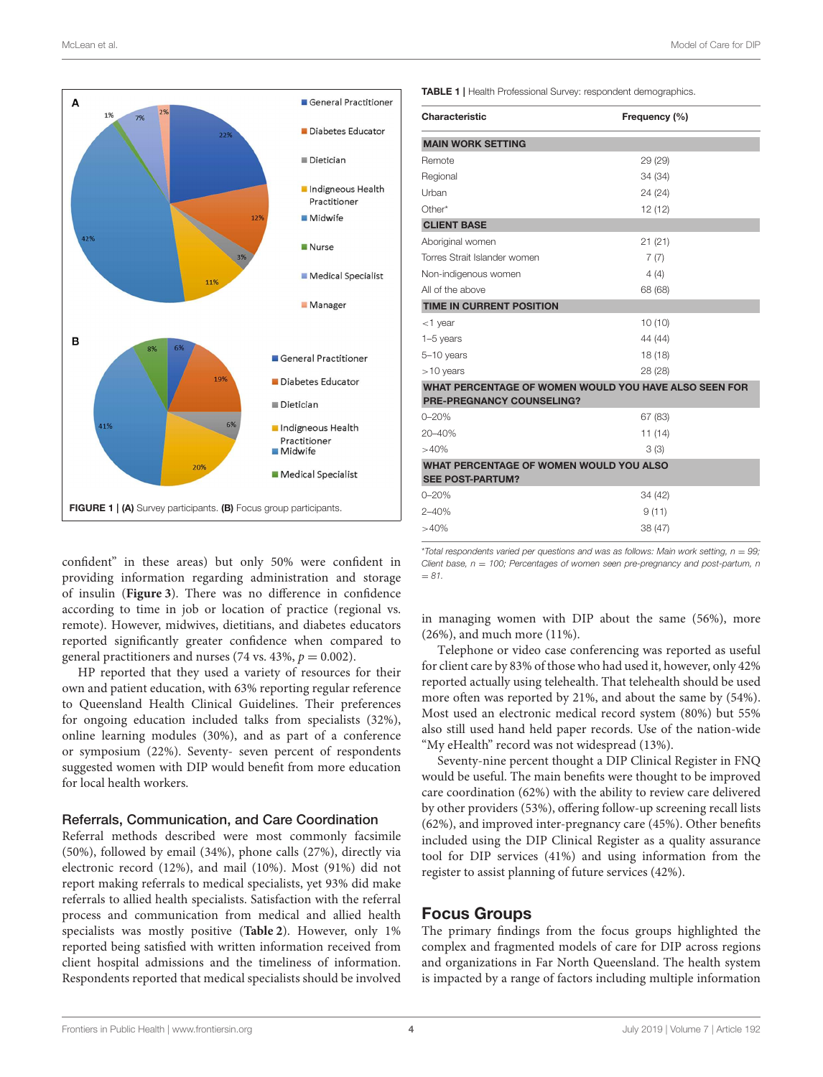

<span id="page-3-0"></span>confident" in these areas) but only 50% were confident in providing information regarding administration and storage of insulin (**[Figure 3](#page-4-1)**). There was no difference in confidence according to time in job or location of practice (regional vs. remote). However, midwives, dietitians, and diabetes educators reported significantly greater confidence when compared to general practitioners and nurses (74 vs. 43%,  $p = 0.002$ ).

HP reported that they used a variety of resources for their own and patient education, with 63% reporting regular reference to Queensland Health Clinical Guidelines. Their preferences for ongoing education included talks from specialists (32%), online learning modules (30%), and as part of a conference or symposium (22%). Seventy- seven percent of respondents suggested women with DIP would benefit from more education for local health workers.

## Referrals, Communication, and Care Coordination

Referral methods described were most commonly facsimile (50%), followed by email (34%), phone calls (27%), directly via electronic record (12%), and mail (10%). Most (91%) did not report making referrals to medical specialists, yet 93% did make referrals to allied health specialists. Satisfaction with the referral process and communication from medical and allied health specialists was mostly positive (**[Table 2](#page-5-0)**). However, only 1% reported being satisfied with written information received from client hospital admissions and the timeliness of information. Respondents reported that medical specialists should be involved <span id="page-3-1"></span>TABLE 1 | Health Professional Survey: respondent demographics.

| Characteristic                                                                            | Frequency (%) |  |  |  |  |
|-------------------------------------------------------------------------------------------|---------------|--|--|--|--|
| <b>MAIN WORK SETTING</b>                                                                  |               |  |  |  |  |
| Remote                                                                                    | 29 (29)       |  |  |  |  |
| Regional                                                                                  | 34 (34)       |  |  |  |  |
| Urban                                                                                     | 24 (24)       |  |  |  |  |
| Other*                                                                                    | 12 (12)       |  |  |  |  |
| <b>CLIENT BASE</b>                                                                        |               |  |  |  |  |
| Aboriginal women                                                                          | 21(21)        |  |  |  |  |
| Torres Strait Islander women                                                              | 7(7)          |  |  |  |  |
| Non-indigenous women                                                                      | 4(4)          |  |  |  |  |
| All of the above                                                                          | 68 (68)       |  |  |  |  |
| <b>TIME IN CURRENT POSITION</b>                                                           |               |  |  |  |  |
| $<$ 1 year                                                                                | 10(10)        |  |  |  |  |
| $1-5$ years                                                                               | 44 (44)       |  |  |  |  |
| 5-10 years                                                                                | 18 (18)       |  |  |  |  |
| $>10$ years                                                                               | 28 (28)       |  |  |  |  |
| WHAT PERCENTAGE OF WOMEN WOULD YOU HAVE ALSO SEEN FOR<br><b>PRE-PREGNANCY COUNSELING?</b> |               |  |  |  |  |
| $0 - 20%$                                                                                 | 67 (83)       |  |  |  |  |
| $20 - 40%$                                                                                | 11(14)        |  |  |  |  |
| >40%                                                                                      | 3(3)          |  |  |  |  |
| WHAT PERCENTAGE OF WOMEN WOULD YOU ALSO<br><b>SEE POST-PARTUM?</b>                        |               |  |  |  |  |
| $0 - 20%$                                                                                 | 34 (42)       |  |  |  |  |
| $2 - 40%$                                                                                 | 9(11)         |  |  |  |  |
| >40%                                                                                      | 38 (47)       |  |  |  |  |

\**Total respondents varied per questions and was as follows: Main work setting, n* = *99; Client base, n* = *100; Percentages of women seen pre-pregnancy and post-partum, n* = *81.*

in managing women with DIP about the same (56%), more (26%), and much more (11%).

Telephone or video case conferencing was reported as useful for client care by 83% of those who had used it, however, only 42% reported actually using telehealth. That telehealth should be used more often was reported by 21%, and about the same by (54%). Most used an electronic medical record system (80%) but 55% also still used hand held paper records. Use of the nation-wide "My eHealth" record was not widespread (13%).

Seventy-nine percent thought a DIP Clinical Register in FNQ would be useful. The main benefits were thought to be improved care coordination (62%) with the ability to review care delivered by other providers (53%), offering follow-up screening recall lists (62%), and improved inter-pregnancy care (45%). Other benefits included using the DIP Clinical Register as a quality assurance tool for DIP services (41%) and using information from the register to assist planning of future services (42%).

#### Focus Groups

The primary findings from the focus groups highlighted the complex and fragmented models of care for DIP across regions and organizations in Far North Queensland. The health system is impacted by a range of factors including multiple information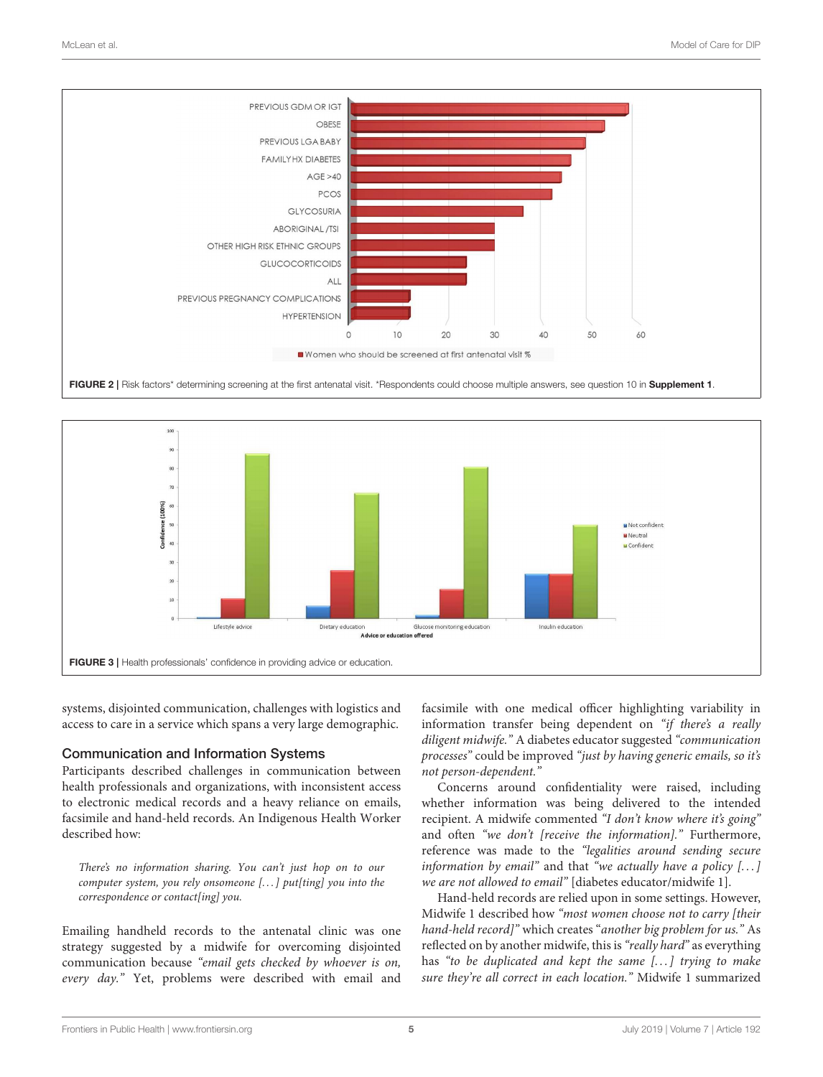

<span id="page-4-0"></span>

<span id="page-4-1"></span>systems, disjointed communication, challenges with logistics and access to care in a service which spans a very large demographic.

#### Communication and Information Systems

Participants described challenges in communication between health professionals and organizations, with inconsistent access to electronic medical records and a heavy reliance on emails, facsimile and hand-held records. An Indigenous Health Worker described how:

There's no information sharing. You can't just hop on to our computer system, you rely onsomeone [. . . ] put[ting] you into the correspondence or contact[ing] you.

Emailing handheld records to the antenatal clinic was one strategy suggested by a midwife for overcoming disjointed communication because "email gets checked by whoever is on, every day." Yet, problems were described with email and

facsimile with one medical officer highlighting variability in information transfer being dependent on "if there's a really diligent midwife." A diabetes educator suggested "communication processes" could be improved "just by having generic emails, so it's not person-dependent."

Concerns around confidentiality were raised, including whether information was being delivered to the intended recipient. A midwife commented "I don't know where it's going" and often "we don't [receive the information]." Furthermore, reference was made to the "legalities around sending secure information by email" and that "we actually have a policy  $[...]$ we are not allowed to email" [diabetes educator/midwife 1].

Hand-held records are relied upon in some settings. However, Midwife 1 described how "most women choose not to carry [their hand-held record]" which creates "another big problem for us." As reflected on by another midwife, this is "really hard" as everything has "to be duplicated and kept the same [...] trying to make sure they're all correct in each location." Midwife 1 summarized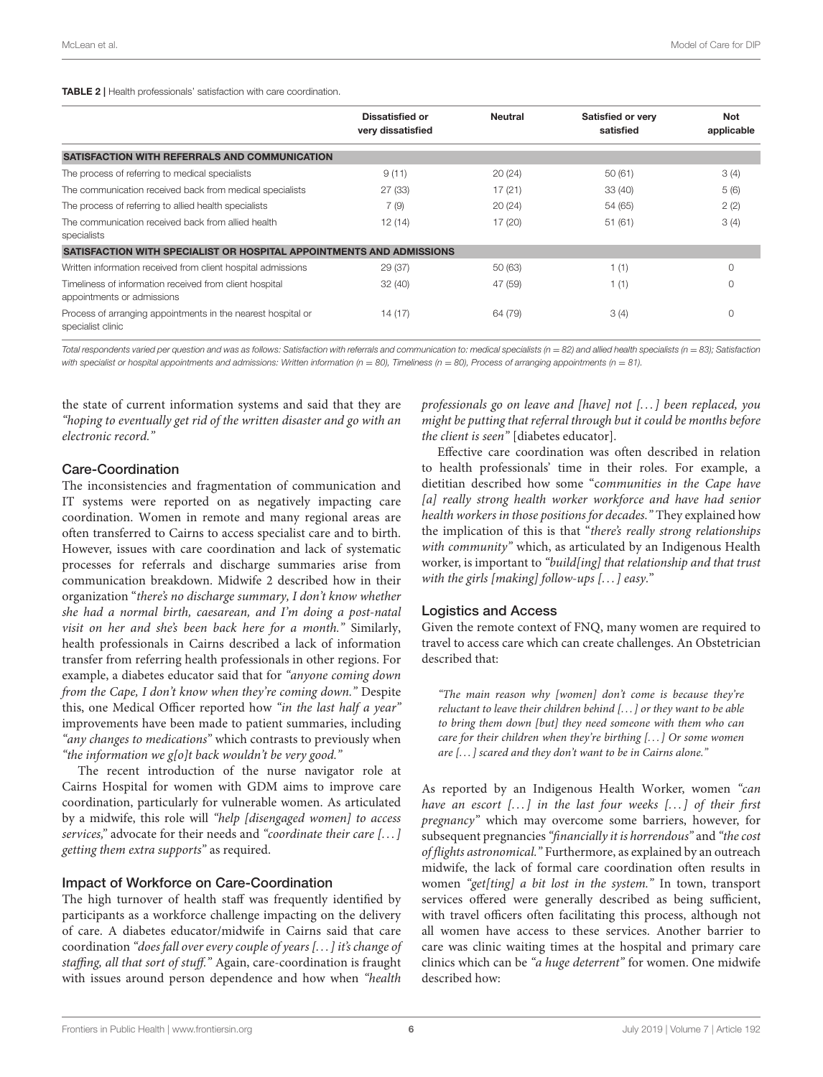<span id="page-5-0"></span>

|                                                                                       | Dissatisfied or<br>very dissatisfied | Neutral | Satisfied or very<br>satisfied | Not<br>applicable |
|---------------------------------------------------------------------------------------|--------------------------------------|---------|--------------------------------|-------------------|
| SATISFACTION WITH REFERRALS AND COMMUNICATION                                         |                                      |         |                                |                   |
| The process of referring to medical specialists                                       | 9(11)                                | 20(24)  | 50(61)                         | 3(4)              |
| The communication received back from medical specialists                              | 27(33)                               | 17(21)  | 33 (40)                        | 5(6)              |
| The process of referring to allied health specialists                                 | 7(9)                                 | 20(24)  | 54 (65)                        | 2(2)              |
| The communication received back from allied health<br>specialists                     | 12(14)                               | 17(20)  | 51(61)                         | 3(4)              |
| SATISFACTION WITH SPECIALIST OR HOSPITAL APPOINTMENTS AND ADMISSIONS                  |                                      |         |                                |                   |
| Written information received from client hospital admissions                          | 29(37)                               | 50 (63) | 1(1)                           | 0                 |
| Timeliness of information received from client hospital<br>appointments or admissions | 32(40)                               | 47 (59) | 1(1)                           |                   |
| Process of arranging appointments in the nearest hospital or<br>specialist clinic     | 14(17)                               | 64 (79) | 3(4)                           |                   |

*Total respondents varied per question and was as follows: Satisfaction with referrals and communication to: medical specialists (n* = *82) and allied health specialists (n* = *83); Satisfaction* with specialist or hospital appointments and admissions: Written information (n = 80), Timeliness (n = 80), Process of arranging appointments (n = 81).

the state of current information systems and said that they are "hoping to eventually get rid of the written disaster and go with an electronic record."

#### Care-Coordination

The inconsistencies and fragmentation of communication and IT systems were reported on as negatively impacting care coordination. Women in remote and many regional areas are often transferred to Cairns to access specialist care and to birth. However, issues with care coordination and lack of systematic processes for referrals and discharge summaries arise from communication breakdown. Midwife 2 described how in their organization "there's no discharge summary, I don't know whether she had a normal birth, caesarean, and I'm doing a post-natal visit on her and she's been back here for a month." Similarly, health professionals in Cairns described a lack of information transfer from referring health professionals in other regions. For example, a diabetes educator said that for "anyone coming down from the Cape, I don't know when they're coming down." Despite this, one Medical Officer reported how "in the last half a year" improvements have been made to patient summaries, including "any changes to medications" which contrasts to previously when "the information we g[o]t back wouldn't be very good."

The recent introduction of the nurse navigator role at Cairns Hospital for women with GDM aims to improve care coordination, particularly for vulnerable women. As articulated by a midwife, this role will "help [disengaged women] to access services," advocate for their needs and "coordinate their care [...] getting them extra supports" as required.

#### Impact of Workforce on Care-Coordination

The high turnover of health staff was frequently identified by participants as a workforce challenge impacting on the delivery of care. A diabetes educator/midwife in Cairns said that care coordination "does fall over every couple of years [. . . ] it's change of staffing, all that sort of stuff." Again, care-coordination is fraught with issues around person dependence and how when "health professionals go on leave and [have] not [. . . ] been replaced, you might be putting that referral through but it could be months before the client is seen" [diabetes educator].

Effective care coordination was often described in relation to health professionals' time in their roles. For example, a dietitian described how some "communities in the Cape have [a] really strong health worker workforce and have had senior health workers in those positions for decades." They explained how the implication of this is that "there's really strong relationships with community" which, as articulated by an Indigenous Health worker, is important to "build[ing] that relationship and that trust with the girls [making] follow-ups [...] easy."

#### Logistics and Access

Given the remote context of FNQ, many women are required to travel to access care which can create challenges. An Obstetrician described that:

"The main reason why [women] don't come is because they're reluctant to leave their children behind [. . . ] or they want to be able to bring them down [but] they need someone with them who can care for their children when they're birthing  $[...]$  Or some women are  $[...]$  scared and they don't want to be in Cairns alone."

As reported by an Indigenous Health Worker, women "can have an escort  $[...]$  in the last four weeks  $[...]$  of their first pregnancy" which may overcome some barriers, however, for subsequent pregnancies"financially it is horrendous" and "the cost of flights astronomical." Furthermore, as explained by an outreach midwife, the lack of formal care coordination often results in women "get[ting] a bit lost in the system." In town, transport services offered were generally described as being sufficient, with travel officers often facilitating this process, although not all women have access to these services. Another barrier to care was clinic waiting times at the hospital and primary care clinics which can be "a huge deterrent" for women. One midwife described how: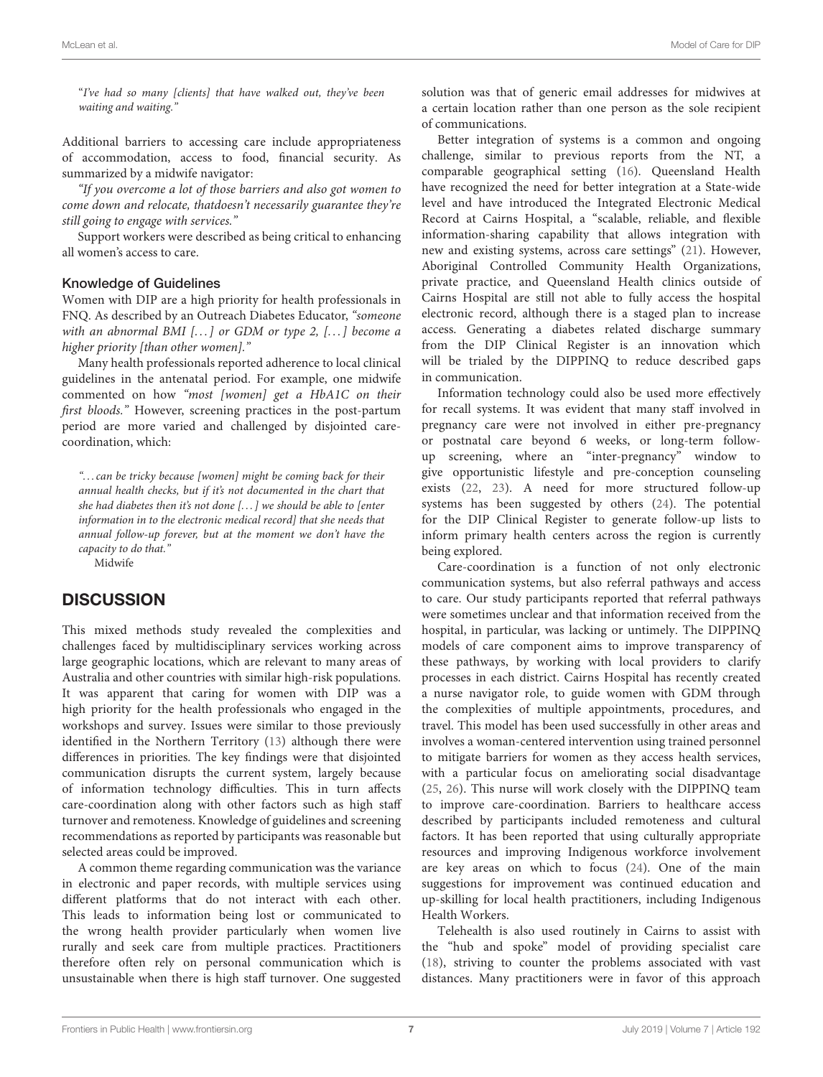"I've had so many [clients] that have walked out, they've been waiting and waiting."

Additional barriers to accessing care include appropriateness of accommodation, access to food, financial security. As summarized by a midwife navigator:

"If you overcome a lot of those barriers and also got women to come down and relocate, thatdoesn't necessarily guarantee they're still going to engage with services."

Support workers were described as being critical to enhancing all women's access to care.

#### Knowledge of Guidelines

Women with DIP are a high priority for health professionals in FNQ. As described by an Outreach Diabetes Educator, "someone with an abnormal BMI  $[...]$  or GDM or type 2,  $[...]$  become a higher priority [than other women]."

Many health professionals reported adherence to local clinical guidelines in the antenatal period. For example, one midwife commented on how "most [women] get a HbA1C on their first bloods." However, screening practices in the post-partum period are more varied and challenged by disjointed carecoordination, which:

". . . can be tricky because [women] might be coming back for their annual health checks, but if it's not documented in the chart that she had diabetes then it's not done [. . . ] we should be able to [enter information in to the electronic medical record] that she needs that annual follow-up forever, but at the moment we don't have the capacity to do that."

Midwife

## **DISCUSSION**

This mixed methods study revealed the complexities and challenges faced by multidisciplinary services working across large geographic locations, which are relevant to many areas of Australia and other countries with similar high-risk populations. It was apparent that caring for women with DIP was a high priority for the health professionals who engaged in the workshops and survey. Issues were similar to those previously identified in the Northern Territory [\(13\)](#page-8-12) although there were differences in priorities. The key findings were that disjointed communication disrupts the current system, largely because of information technology difficulties. This in turn affects care-coordination along with other factors such as high staff turnover and remoteness. Knowledge of guidelines and screening recommendations as reported by participants was reasonable but selected areas could be improved.

A common theme regarding communication was the variance in electronic and paper records, with multiple services using different platforms that do not interact with each other. This leads to information being lost or communicated to the wrong health provider particularly when women live rurally and seek care from multiple practices. Practitioners therefore often rely on personal communication which is unsustainable when there is high staff turnover. One suggested solution was that of generic email addresses for midwives at a certain location rather than one person as the sole recipient of communications.

Better integration of systems is a common and ongoing challenge, similar to previous reports from the NT, a comparable geographical setting [\(16\)](#page-8-15). Queensland Health have recognized the need for better integration at a State-wide level and have introduced the Integrated Electronic Medical Record at Cairns Hospital, a "scalable, reliable, and flexible information-sharing capability that allows integration with new and existing systems, across care settings" [\(21\)](#page-8-21). However, Aboriginal Controlled Community Health Organizations, private practice, and Queensland Health clinics outside of Cairns Hospital are still not able to fully access the hospital electronic record, although there is a staged plan to increase access. Generating a diabetes related discharge summary from the DIP Clinical Register is an innovation which will be trialed by the DIPPINQ to reduce described gaps in communication.

Information technology could also be used more effectively for recall systems. It was evident that many staff involved in pregnancy care were not involved in either pre-pregnancy or postnatal care beyond 6 weeks, or long-term followup screening, where an "inter-pregnancy" window to give opportunistic lifestyle and pre-conception counseling exists [\(22,](#page-8-22) [23\)](#page-8-23). A need for more structured follow-up systems has been suggested by others [\(24\)](#page-8-24). The potential for the DIP Clinical Register to generate follow-up lists to inform primary health centers across the region is currently being explored.

Care-coordination is a function of not only electronic communication systems, but also referral pathways and access to care. Our study participants reported that referral pathways were sometimes unclear and that information received from the hospital, in particular, was lacking or untimely. The DIPPINQ models of care component aims to improve transparency of these pathways, by working with local providers to clarify processes in each district. Cairns Hospital has recently created a nurse navigator role, to guide women with GDM through the complexities of multiple appointments, procedures, and travel. This model has been used successfully in other areas and involves a woman-centered intervention using trained personnel to mitigate barriers for women as they access health services, with a particular focus on ameliorating social disadvantage [\(25,](#page-8-25) [26\)](#page-8-26). This nurse will work closely with the DIPPINQ team to improve care-coordination. Barriers to healthcare access described by participants included remoteness and cultural factors. It has been reported that using culturally appropriate resources and improving Indigenous workforce involvement are key areas on which to focus [\(24\)](#page-8-24). One of the main suggestions for improvement was continued education and up-skilling for local health practitioners, including Indigenous Health Workers.

Telehealth is also used routinely in Cairns to assist with the "hub and spoke" model of providing specialist care [\(18\)](#page-8-17), striving to counter the problems associated with vast distances. Many practitioners were in favor of this approach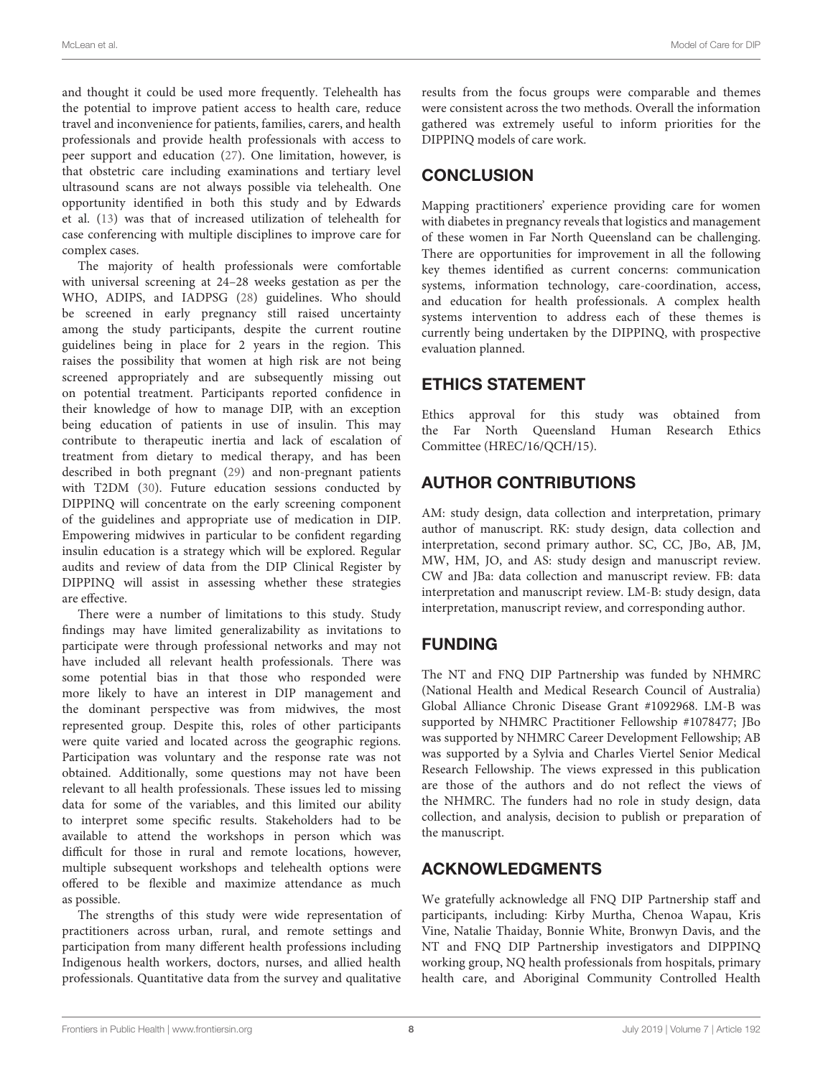and thought it could be used more frequently. Telehealth has the potential to improve patient access to health care, reduce travel and inconvenience for patients, families, carers, and health professionals and provide health professionals with access to peer support and education [\(27\)](#page-8-27). One limitation, however, is that obstetric care including examinations and tertiary level ultrasound scans are not always possible via telehealth. One opportunity identified in both this study and by Edwards et al. [\(13\)](#page-8-12) was that of increased utilization of telehealth for case conferencing with multiple disciplines to improve care for complex cases.

The majority of health professionals were comfortable with universal screening at 24–28 weeks gestation as per the WHO, ADIPS, and IADPSG [\(28\)](#page-8-28) guidelines. Who should be screened in early pregnancy still raised uncertainty among the study participants, despite the current routine guidelines being in place for 2 years in the region. This raises the possibility that women at high risk are not being screened appropriately and are subsequently missing out on potential treatment. Participants reported confidence in their knowledge of how to manage DIP, with an exception being education of patients in use of insulin. This may contribute to therapeutic inertia and lack of escalation of treatment from dietary to medical therapy, and has been described in both pregnant [\(29\)](#page-8-29) and non-pregnant patients with T2DM [\(30\)](#page-8-30). Future education sessions conducted by DIPPINQ will concentrate on the early screening component of the guidelines and appropriate use of medication in DIP. Empowering midwives in particular to be confident regarding insulin education is a strategy which will be explored. Regular audits and review of data from the DIP Clinical Register by DIPPINQ will assist in assessing whether these strategies are effective.

There were a number of limitations to this study. Study findings may have limited generalizability as invitations to participate were through professional networks and may not have included all relevant health professionals. There was some potential bias in that those who responded were more likely to have an interest in DIP management and the dominant perspective was from midwives, the most represented group. Despite this, roles of other participants were quite varied and located across the geographic regions. Participation was voluntary and the response rate was not obtained. Additionally, some questions may not have been relevant to all health professionals. These issues led to missing data for some of the variables, and this limited our ability to interpret some specific results. Stakeholders had to be available to attend the workshops in person which was difficult for those in rural and remote locations, however, multiple subsequent workshops and telehealth options were offered to be flexible and maximize attendance as much as possible.

The strengths of this study were wide representation of practitioners across urban, rural, and remote settings and participation from many different health professions including Indigenous health workers, doctors, nurses, and allied health professionals. Quantitative data from the survey and qualitative results from the focus groups were comparable and themes were consistent across the two methods. Overall the information gathered was extremely useful to inform priorities for the DIPPINQ models of care work.

# **CONCLUSION**

Mapping practitioners' experience providing care for women with diabetes in pregnancy reveals that logistics and management of these women in Far North Queensland can be challenging. There are opportunities for improvement in all the following key themes identified as current concerns: communication systems, information technology, care-coordination, access, and education for health professionals. A complex health systems intervention to address each of these themes is currently being undertaken by the DIPPINQ, with prospective evaluation planned.

# ETHICS STATEMENT

Ethics approval for this study was obtained from the Far North Queensland Human Research Ethics Committee (HREC/16/QCH/15).

# AUTHOR CONTRIBUTIONS

AM: study design, data collection and interpretation, primary author of manuscript. RK: study design, data collection and interpretation, second primary author. SC, CC, JBo, AB, JM, MW, HM, JO, and AS: study design and manuscript review. CW and JBa: data collection and manuscript review. FB: data interpretation and manuscript review. LM-B: study design, data interpretation, manuscript review, and corresponding author.

# FUNDING

The NT and FNQ DIP Partnership was funded by NHMRC (National Health and Medical Research Council of Australia) Global Alliance Chronic Disease Grant #1092968. LM-B was supported by NHMRC Practitioner Fellowship #1078477; JBo was supported by NHMRC Career Development Fellowship; AB was supported by a Sylvia and Charles Viertel Senior Medical Research Fellowship. The views expressed in this publication are those of the authors and do not reflect the views of the NHMRC. The funders had no role in study design, data collection, and analysis, decision to publish or preparation of the manuscript.

# ACKNOWLEDGMENTS

We gratefully acknowledge all FNQ DIP Partnership staff and participants, including: Kirby Murtha, Chenoa Wapau, Kris Vine, Natalie Thaiday, Bonnie White, Bronwyn Davis, and the NT and FNQ DIP Partnership investigators and DIPPINQ working group, NQ health professionals from hospitals, primary health care, and Aboriginal Community Controlled Health